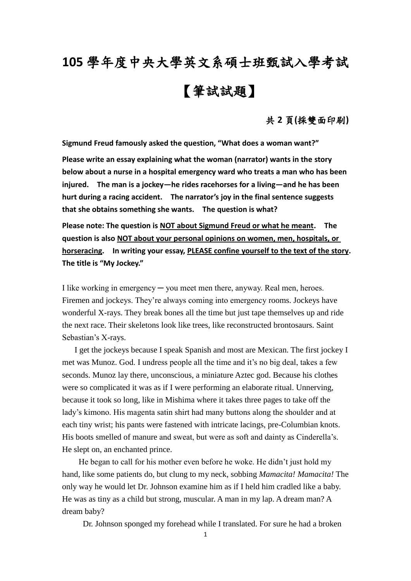## **105** 學年度中央大學英文系碩士班甄試入學考試 【筆試試題】

## 共 **2** 頁**(**採雙面印刷**)**

**Sigmund Freud famously asked the question, "What does a woman want?"**

**Please write an essay explaining what the woman (narrator) wants in the story below about a nurse in a hospital emergency ward who treats a man who has been injured. The man is a jockey—he rides racehorses for a living—and he has been hurt during a racing accident. The narrator's joy in the final sentence suggests that she obtains something she wants. The question is what?**

**Please note: The question is NOT about Sigmund Freud or what he meant. The question is also NOT about your personal opinions on women, men, hospitals, or horseracing. In writing your essay, PLEASE confine yourself to the text of the story. The title is "My Jockey."**

I like working in emergency ─ you meet men there, anyway. Real men, heroes. Firemen and jockeys. They're always coming into emergency rooms. Jockeys have wonderful X-rays. They break bones all the time but just tape themselves up and ride the next race. Their skeletons look like trees, like reconstructed brontosaurs. Saint Sebastian's X-rays.

 I get the jockeys because I speak Spanish and most are Mexican. The first jockey I met was Munoz. God. I undress people all the time and it's no big deal, takes a few seconds. Munoz lay there, unconscious, a miniature Aztec god. Because his clothes were so complicated it was as if I were performing an elaborate ritual. Unnerving, because it took so long, like in Mishima where it takes three pages to take off the lady's kimono. His magenta satin shirt had many buttons along the shoulder and at each tiny wrist; his pants were fastened with intricate lacings, pre-Columbian knots. His boots smelled of manure and sweat, but were as soft and dainty as Cinderella's. He slept on, an enchanted prince.

 He began to call for his mother even before he woke. He didn't just hold my hand, like some patients do, but clung to my neck, sobbing *Mamacita! Mamacita!* The only way he would let Dr. Johnson examine him as if I held him cradled like a baby. He was as tiny as a child but strong, muscular. A man in my lap. A dream man? A dream baby?

Dr. Johnson sponged my forehead while I translated. For sure he had a broken